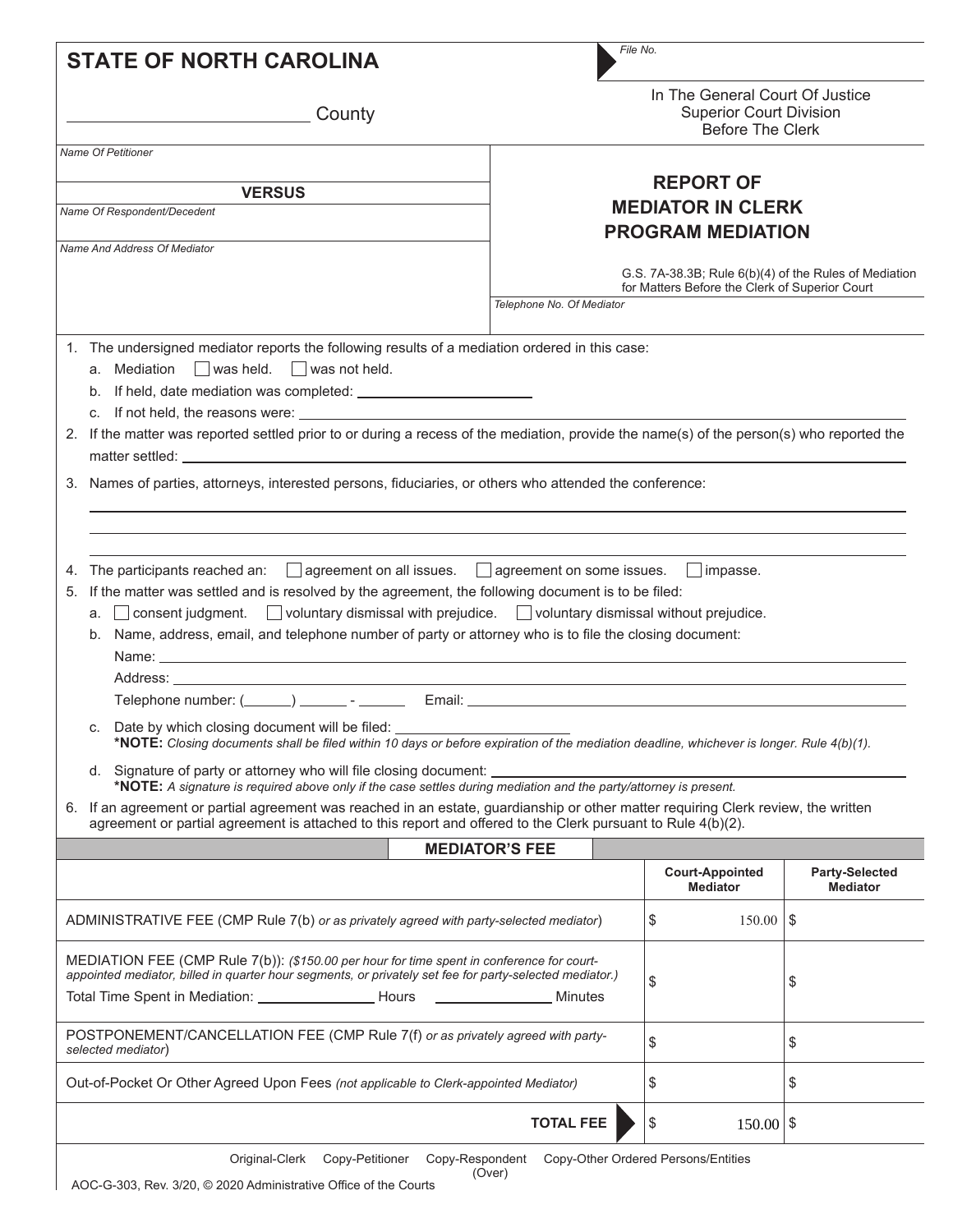| <b>STATE OF NORTH CAROLINA</b>                                                                                                                                                                                                                                                                                                                                                                                                                                                                                                                                                                                                                                                                                                                                                                                                                                                                                                                                                                                                                                                                                                                                                                                                                                                                                                                                                                                                            | File No.                                                                                                |                                                                                              |                                   |
|-------------------------------------------------------------------------------------------------------------------------------------------------------------------------------------------------------------------------------------------------------------------------------------------------------------------------------------------------------------------------------------------------------------------------------------------------------------------------------------------------------------------------------------------------------------------------------------------------------------------------------------------------------------------------------------------------------------------------------------------------------------------------------------------------------------------------------------------------------------------------------------------------------------------------------------------------------------------------------------------------------------------------------------------------------------------------------------------------------------------------------------------------------------------------------------------------------------------------------------------------------------------------------------------------------------------------------------------------------------------------------------------------------------------------------------------|---------------------------------------------------------------------------------------------------------|----------------------------------------------------------------------------------------------|-----------------------------------|
| County                                                                                                                                                                                                                                                                                                                                                                                                                                                                                                                                                                                                                                                                                                                                                                                                                                                                                                                                                                                                                                                                                                                                                                                                                                                                                                                                                                                                                                    |                                                                                                         | In The General Court Of Justice<br><b>Superior Court Division</b><br><b>Before The Clerk</b> |                                   |
| Name Of Petitioner                                                                                                                                                                                                                                                                                                                                                                                                                                                                                                                                                                                                                                                                                                                                                                                                                                                                                                                                                                                                                                                                                                                                                                                                                                                                                                                                                                                                                        |                                                                                                         |                                                                                              |                                   |
| <b>VERSUS</b>                                                                                                                                                                                                                                                                                                                                                                                                                                                                                                                                                                                                                                                                                                                                                                                                                                                                                                                                                                                                                                                                                                                                                                                                                                                                                                                                                                                                                             |                                                                                                         | <b>REPORT OF</b>                                                                             |                                   |
| Name Of Respondent/Decedent                                                                                                                                                                                                                                                                                                                                                                                                                                                                                                                                                                                                                                                                                                                                                                                                                                                                                                                                                                                                                                                                                                                                                                                                                                                                                                                                                                                                               | <b>MEDIATOR IN CLERK</b>                                                                                |                                                                                              |                                   |
|                                                                                                                                                                                                                                                                                                                                                                                                                                                                                                                                                                                                                                                                                                                                                                                                                                                                                                                                                                                                                                                                                                                                                                                                                                                                                                                                                                                                                                           |                                                                                                         | <b>PROGRAM MEDIATION</b>                                                                     |                                   |
| Name And Address Of Mediator                                                                                                                                                                                                                                                                                                                                                                                                                                                                                                                                                                                                                                                                                                                                                                                                                                                                                                                                                                                                                                                                                                                                                                                                                                                                                                                                                                                                              | G.S. 7A-38.3B; Rule 6(b)(4) of the Rules of Mediation<br>for Matters Before the Clerk of Superior Court |                                                                                              |                                   |
|                                                                                                                                                                                                                                                                                                                                                                                                                                                                                                                                                                                                                                                                                                                                                                                                                                                                                                                                                                                                                                                                                                                                                                                                                                                                                                                                                                                                                                           | Telephone No. Of Mediator                                                                               |                                                                                              |                                   |
| 1. The undersigned mediator reports the following results of a mediation ordered in this case:<br>a. Mediation $\Box$ was held. $\Box$ was not held.<br>2. If the matter was reported settled prior to or during a recess of the mediation, provide the name(s) of the person(s) who reported the<br>3. Names of parties, attorneys, interested persons, fiduciaries, or others who attended the conference:<br>The participants reached an: $\Box$ agreement on all issues. $\Box$ agreement on some issues.<br>4.<br>If the matter was settled and is resolved by the agreement, the following document is to be filed:<br>5.<br>a. Consent judgment. Voluntary dismissal with prejudice. Voluntary dismissal without prejudice.<br>b. Name, address, email, and telephone number of party or attorney who is to file the closing document:<br>Address: ______________<br>c. Date by which closing document will be filed: _______________________________<br>*NOTE: Closing documents shall be filed within 10 days or before expiration of the mediation deadline, whichever is longer. Rule 4(b)(1).<br>d. Signature of party or attorney who will file closing document:<br>*NOTE: A signature is required above only if the case settles during mediation and the party/attorney is present.<br>6. If an agreement or partial agreement was reached in an estate, guardianship or other matter requiring Clerk review, the written |                                                                                                         | $\vert$ impasse.                                                                             |                                   |
| agreement or partial agreement is attached to this report and offered to the Clerk pursuant to Rule 4(b)(2).                                                                                                                                                                                                                                                                                                                                                                                                                                                                                                                                                                                                                                                                                                                                                                                                                                                                                                                                                                                                                                                                                                                                                                                                                                                                                                                              |                                                                                                         |                                                                                              |                                   |
|                                                                                                                                                                                                                                                                                                                                                                                                                                                                                                                                                                                                                                                                                                                                                                                                                                                                                                                                                                                                                                                                                                                                                                                                                                                                                                                                                                                                                                           | <b>MEDIATOR'S FEE</b>                                                                                   |                                                                                              |                                   |
|                                                                                                                                                                                                                                                                                                                                                                                                                                                                                                                                                                                                                                                                                                                                                                                                                                                                                                                                                                                                                                                                                                                                                                                                                                                                                                                                                                                                                                           |                                                                                                         | <b>Court-Appointed</b><br><b>Mediator</b>                                                    | Party-Selected<br><b>Mediator</b> |
| ADMINISTRATIVE FEE (CMP Rule 7(b) or as privately agreed with party-selected mediator)                                                                                                                                                                                                                                                                                                                                                                                                                                                                                                                                                                                                                                                                                                                                                                                                                                                                                                                                                                                                                                                                                                                                                                                                                                                                                                                                                    |                                                                                                         | \$<br>$150.00$   \$                                                                          |                                   |
| MEDIATION FEE (CMP Rule 7(b)): (\$150.00 per hour for time spent in conference for court-<br>appointed mediator, billed in quarter hour segments, or privately set fee for party-selected mediator.)<br>Minutes                                                                                                                                                                                                                                                                                                                                                                                                                                                                                                                                                                                                                                                                                                                                                                                                                                                                                                                                                                                                                                                                                                                                                                                                                           |                                                                                                         | \$                                                                                           | \$                                |
| POSTPONEMENT/CANCELLATION FEE (CMP Rule 7(f) or as privately agreed with party-<br>selected mediator)                                                                                                                                                                                                                                                                                                                                                                                                                                                                                                                                                                                                                                                                                                                                                                                                                                                                                                                                                                                                                                                                                                                                                                                                                                                                                                                                     |                                                                                                         | \$                                                                                           | \$                                |
| Out-of-Pocket Or Other Agreed Upon Fees (not applicable to Clerk-appointed Mediator)                                                                                                                                                                                                                                                                                                                                                                                                                                                                                                                                                                                                                                                                                                                                                                                                                                                                                                                                                                                                                                                                                                                                                                                                                                                                                                                                                      |                                                                                                         | \$                                                                                           | \$                                |
|                                                                                                                                                                                                                                                                                                                                                                                                                                                                                                                                                                                                                                                                                                                                                                                                                                                                                                                                                                                                                                                                                                                                                                                                                                                                                                                                                                                                                                           | <b>TOTAL FEE</b>                                                                                        | \$<br>$150.00$   \$                                                                          |                                   |
| Original-Clerk<br>Copy-Petitioner<br>Copy-Respondent                                                                                                                                                                                                                                                                                                                                                                                                                                                                                                                                                                                                                                                                                                                                                                                                                                                                                                                                                                                                                                                                                                                                                                                                                                                                                                                                                                                      | (Over)                                                                                                  | Copy-Other Ordered Persons/Entities                                                          |                                   |

AOC-G-303, Rev. 3/20, © 2020 Administrative Office of the Courts